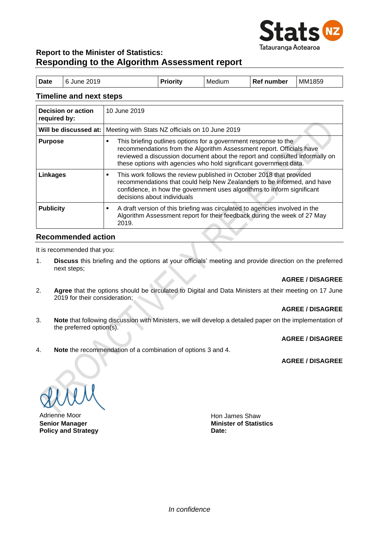

# **Report to the Minister of Statistics: Responding to the Algorithm Assessment report**

| <b>Date</b> | <sup>1</sup> 6 June 2019 | <b>Priority</b> | Medium | <b>Ref number</b> | MM1859 |
|-------------|--------------------------|-----------------|--------|-------------------|--------|
|             |                          |                 |        |                   |        |

#### **Timeline and next steps**

| <b>Decision or action</b><br>required by: | 10 June 2019                                                                                                                                                                                                                                                                                     |
|-------------------------------------------|--------------------------------------------------------------------------------------------------------------------------------------------------------------------------------------------------------------------------------------------------------------------------------------------------|
| Will be discussed at:                     | Meeting with Stats NZ officials on 10 June 2019                                                                                                                                                                                                                                                  |
| <b>Purpose</b>                            | This briefing outlines options for a government response to the<br>٠<br>recommendations from the Algorithm Assessment report. Officials have<br>reviewed a discussion document about the report and consulted informally on<br>these options with agencies who hold significant government data. |
| Linkages                                  | This work follows the review published in October 2018 that provided<br>٠<br>recommendations that could help New Zealanders to be informed, and have<br>confidence, in how the government uses algorithms to inform significant<br>decisions about individuals                                   |
| <b>Publicity</b>                          | A draft version of this briefing was circulated to agencies involved in the<br>٠<br>Algorithm Assessment report for their feedback during the week of 27 May<br>2019.                                                                                                                            |

#### **Recommended action**

It is recommended that you:

1. **Discuss** this briefing and the options at your officials' meeting and provide direction on the preferred next steps;

#### **AGREE / DISAGREE**

2. **Agree** that the options should be circulated to Digital and Data Ministers at their meeting on 17 June 2019 for their consideration;

#### **AGREE / DISAGREE**

3. **Note** that following discussion with Ministers, we will develop a detailed paper on the implementation of the preferred option(s).

#### **AGREE / DISAGREE**

4. **Note** the recommendation of a combination of options 3 and 4.

#### **AGREE / DISAGREE**

Adrienne Moor **Hon James Shaw** Hon James Shaw **Senior Manager Policy and Strategy**

**Minister of Statistics Date:**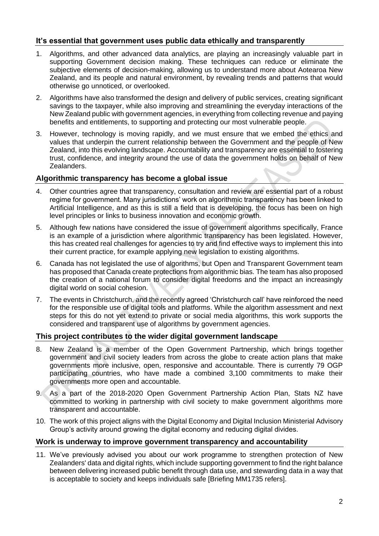# **It's essential that government uses public data ethically and transparently**

- 1. Algorithms, and other advanced data analytics, are playing an increasingly valuable part in supporting Government decision making. These techniques can reduce or eliminate the subjective elements of decision-making, allowing us to understand more about Aotearoa New Zealand, and its people and natural environment, by revealing trends and patterns that would otherwise go unnoticed, or overlooked.
- 2. Algorithms have also transformed the design and delivery of public services, creating significant savings to the taxpayer, while also improving and streamlining the everyday interactions of the New Zealand public with government agencies, in everything from collecting revenue and paying benefits and entitlements, to supporting and protecting our most vulnerable people.
- 3. However, technology is moving rapidly, and we must ensure that we embed the ethics and values that underpin the current relationship between the Government and the people of New Zealand, into this evolving landscape. Accountability and transparency are essential to fostering trust, confidence, and integrity around the use of data the government holds on behalf of New Zealanders.

### **Algorithmic transparency has become a global issue**

- 4. Other countries agree that transparency, consultation and review are essential part of a robust regime for government. Many jurisdictions' work on algorithmic transparency has been linked to Artificial Intelligence, and as this is still a field that is developing, the focus has been on high level principles or links to business innovation and economic growth.
- 5. Although few nations have considered the issue of government algorithms specifically, France is an example of a jurisdiction where algorithmic transparency has been legislated. However, this has created real challenges for agencies to try and find effective ways to implement this into their current practice, for example applying new legislation to existing algorithms.
- 6. Canada has not legislated the use of algorithms, but Open and Transparent Government team has proposed that Canada create protections from algorithmic bias. The team has also proposed the creation of a national forum to consider digital freedoms and the impact an increasingly digital world on social cohesion.
- 7. The events in Christchurch, and the recently agreed 'Christchurch call' have reinforced the need for the responsible use of digital tools and platforms. While the algorithm assessment and next steps for this do not yet extend to private or social media algorithms, this work supports the considered and transparent use of algorithms by government agencies.

## **This project contributes to the wider digital government landscape**

- 8. New Zealand is a member of the Open Government Partnership, which brings together government and civil society leaders from across the globe to create action plans that make governments more inclusive, open, responsive and accountable. There is currently 79 OGP participating countries, who have made a combined 3,100 commitments to make their governments more open and accountable.
- 9. As a part of the 2018-2020 Open Government Partnership Action Plan, Stats NZ have committed to working in partnership with civil society to make government algorithms more transparent and accountable.
- 10. The work of this project aligns with the Digital Economy and Digital Inclusion Ministerial Advisory Group's activity around growing the digital economy and reducing digital divides.

## **Work is underway to improve government transparency and accountability**

11. We've previously advised you about our work programme to strengthen protection of New Zealanders' data and digital rights, which include supporting government to find the right balance between delivering increased public benefit through data use, and stewarding data in a way that is acceptable to society and keeps individuals safe [Briefing MM1735 refers].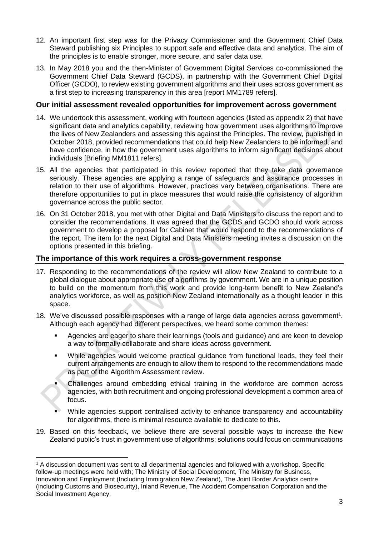- 12. An important first step was for the Privacy Commissioner and the Government Chief Data Steward publishing six Principles to support safe and effective data and analytics. The aim of the principles is to enable stronger, more secure, and safer data use.
- 13. In May 2018 you and the then-Minister of Government Digital Services co-commissioned the Government Chief Data Steward (GCDS), in partnership with the Government Chief Digital Officer (GCDO), to review existing government algorithms and their uses across government as a first step to increasing transparency in this area [report MM1789 refers].

## **Our initial assessment revealed opportunities for improvement across government**

- 14. We undertook this assessment, working with fourteen agencies (listed as appendix 2) that have significant data and analytics capability, reviewing how government uses algorithms to improve the lives of New Zealanders and assessing this against the Principles. The review, published in October 2018, provided recommendations that could help New Zealanders to be informed, and have confidence, in how the government uses algorithms to inform significant decisions about individuals [Briefing MM1811 refers].
- 15. All the agencies that participated in this review reported that they take data governance seriously. These agencies are applying a range of safeguards and assurance processes in relation to their use of algorithms. However, practices vary between organisations. There are therefore opportunities to put in place measures that would raise the consistency of algorithm governance across the public sector.
- 16. On 31 October 2018, you met with other Digital and Data Ministers to discuss the report and to consider the recommendations. It was agreed that the GCDS and GCDO should work across government to develop a proposal for Cabinet that would respond to the recommendations of the report. The item for the next Digital and Data Ministers meeting invites a discussion on the options presented in this briefing.

### **The importance of this work requires a cross-government response**

- 17. Responding to the recommendations of the review will allow New Zealand to contribute to a global dialogue about appropriate use of algorithms by government. We are in a unique position to build on the momentum from this work and provide long-term benefit to New Zealand's analytics workforce, as well as position New Zealand internationally as a thought leader in this space.
- 18. We've discussed possible responses with a range of large data agencies across government<sup>1</sup>. Although each agency had different perspectives, we heard some common themes:
	- Agencies are eager to share their learnings (tools and guidance) and are keen to develop a way to formally collaborate and share ideas across government.
	- While agencies would welcome practical guidance from functional leads, they feel their current arrangements are enough to allow them to respond to the recommendations made as part of the Algorithm Assessment review.
	- Challenges around embedding ethical training in the workforce are common across agencies, with both recruitment and ongoing professional development a common area of focus.
	- While agencies support centralised activity to enhance transparency and accountability for algorithms, there is minimal resource available to dedicate to this.
- 19. Based on this feedback, we believe there are several possible ways to increase the New Zealand public's trust in government use of algorithms; solutions could focus on communications

<sup>1</sup> A discussion document was sent to all departmental agencies and followed with a workshop. Specific follow-up meetings were held with; The Ministry of Social Development, The Ministry for Business, Innovation and Employment (Including Immigration New Zealand), The Joint Border Analytics centre (including Customs and Biosecurity), Inland Revenue, The Accident Compensation Corporation and the Social Investment Agency.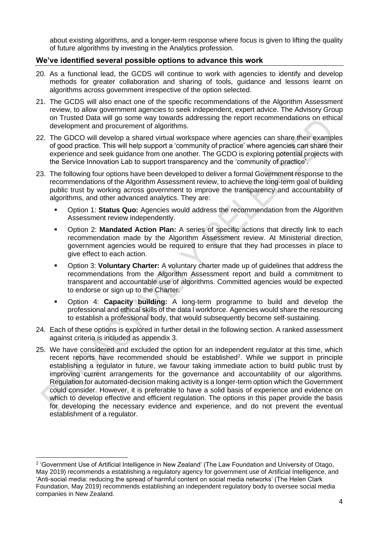about existing algorithms, and a longer-term response where focus is given to lifting the quality of future algorithms by investing in the Analytics profession.

### **We've identified several possible options to advance this work**

- 20. As a functional lead, the GCDS will continue to work with agencies to identify and develop methods for greater collaboration and sharing of tools, guidance and lessons learnt on algorithms across government irrespective of the option selected.
- 21. The GCDS will also enact one of the specific recommendations of the Algorithm Assessment review, to allow government agencies to seek independent, expert advice. The Advisory Group on Trusted Data will go some way towards addressing the report recommendations on ethical development and procurement of algorithms.
- 22. The GDCO will develop a shared virtual workspace where agencies can share their examples of good practice. This will help support a 'community of practice' where agencies can share their experience and seek guidance from one another. The GCDO is exploring potential projects with the Service Innovation Lab to support transparency and the 'community of practice'.
- 23. The following four options have been developed to deliver a formal Government response to the recommendations of the Algorithm Assessment review, to achieve the long-term goal of building public trust by working across government to improve the transparency and accountability of algorithms, and other advanced analytics. They are:
	- Option 1: **Status Quo:** Agencies would address the recommendation from the Algorithm Assessment review independently.
	- Option 2: **Mandated Action Plan:** A series of specific actions that directly link to each recommendation made by the Algorithm Assessment review. At Ministerial direction, government agencies would be required to ensure that they had processes in place to give effect to each action.
	- Option 3: **Voluntary Charter:** A voluntary charter made up of quidelines that address the recommendations from the Algorithm Assessment report and build a commitment to transparent and accountable use of algorithms. Committed agencies would be expected to endorse or sign up to the Charter.
	- Option 4: **Capacity building:** A long-term programme to build and develop the professional and ethical skills of the data l workforce. Agencies would share the resourcing to establish a professional body, that would subsequently become self-sustaining.
- 24. Each of these options is explored in further detail in the following section. A ranked assessment against criteria is included as appendix 3.
- 25. We have considered and excluded the option for an independent regulator at this time, which recent reports have recommended should be established<sup>2</sup>. While we support in principle establishing a regulator in future, we favour taking immediate action to build public trust by improving current arrangements for the governance and accountability of our algorithms. Regulation for automated-decision making activity is a longer-term option which the Government could consider. However, it is preferable to have a solid basis of experience and evidence on which to develop effective and efficient regulation. The options in this paper provide the basis for developing the necessary evidence and experience, and do not prevent the eventual establishment of a regulator.

<sup>2</sup> 'Government Use of Artificial Intelligence in New Zealand' (The Law Foundation and University of Otago, May 2019) recommends a establishing a regulatory agency for government use of Artificial Intelligence, and 'Anti-social media: reducing the spread of harmful content on social media networks' (The Helen Clark Foundation, May 2019) recommends establishing an independent regulatory body to oversee social media companies in New Zealand.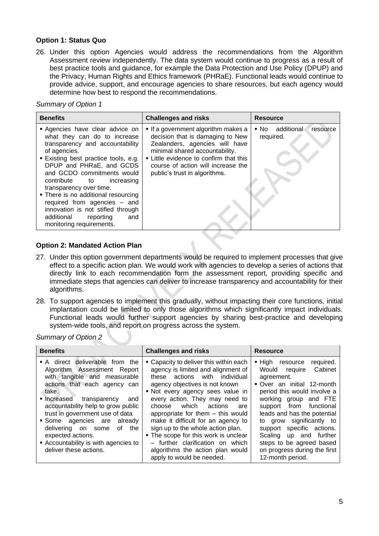#### **Option 1: Status Quo**

26. Under this option Agencies would address the recommendations from the Algorithm Assessment review independently. The data system would continue to progress as a result of best practice tools and guidance, for example the Data Protection and Use Policy (DPUP) and the Privacy, Human Rights and Ethics framework (PHRaE). Functional leads would continue to provide advice, support, and encourage agencies to share resources, but each agency would determine how best to respond the recommendations.

*Summary of Option 1*

| <b>Benefits</b>                                                                                                                                                                                                                                                                                                                                                                                                                                     | <b>Challenges and risks</b>                                                                                                                                                                                                                              | <b>Resource</b>                          |
|-----------------------------------------------------------------------------------------------------------------------------------------------------------------------------------------------------------------------------------------------------------------------------------------------------------------------------------------------------------------------------------------------------------------------------------------------------|----------------------------------------------------------------------------------------------------------------------------------------------------------------------------------------------------------------------------------------------------------|------------------------------------------|
| Agencies have clear advice on<br>what they can do to increase<br>transparency and accountability<br>of agencies.<br>■ Existing best practice tools, e.g.<br>DPUP and PHRaE, and GCDS<br>and GCDO commitments would<br>contribute to increasing<br>transparency over time.<br>• There is no additional resourcing<br>required from agencies - and<br>innovation is not stifled through<br>additional<br>reporting<br>and<br>monitoring requirements. | If a government algorithm makes a<br>decision that is damaging to New<br>Zealanders, agencies will have<br>minimal shared accountability.<br>Little evidence to confirm that this<br>course of action will increase the<br>public's trust in algorithms. | ■ No additional<br>resource<br>required. |

### **Option 2: Mandated Action Plan**

- 27. Under this option government departments would be required to implement processes that give effect to a specific action plan. We would work with agencies to develop a series of actions that directly link to each recommendation form the assessment report, providing specific and immediate steps that agencies can deliver to increase transparency and accountability for their algorithms.
- 28. To support agencies to implement this gradually, without impacting their core functions, initial implantation could be limited to only those algorithms which significantly impact individuals. Functional leads would further support agencies by sharing best-practice and developing system-wide tools, and report on progress across the system.

*Summary of Option 2*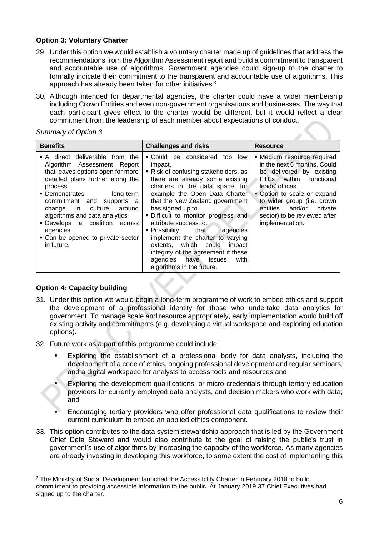### **Option 3: Voluntary Charter**

- 29. Under this option we would establish a voluntary charter made up of guidelines that address the recommendations from the Algorithm Assessment report and build a commitment to transparent and accountable use of algorithms. Government agencies could sign-up to the charter to formally indicate their commitment to the transparent and accountable use of algorithms. This approach has already been taken for other initiatives<sup>3</sup>
- 30. Although intended for departmental agencies, the charter could have a wider membership including Crown Entities and even non-government organisations and businesses. The way that each participant gives effect to the charter would be different, but it would reflect a clear commitment from the leadership of each member about expectations of conduct.

*Summary of Option 3*

| <b>Benefits</b>                                                                                                                                                                                                                                                                                                                                                                         | <b>Challenges and risks</b>                                                                                                                                                                                                                                                                                                                                                                                                                                                                                                 | <b>Resource</b>                                                                                                                                                                                                                                                               |
|-----------------------------------------------------------------------------------------------------------------------------------------------------------------------------------------------------------------------------------------------------------------------------------------------------------------------------------------------------------------------------------------|-----------------------------------------------------------------------------------------------------------------------------------------------------------------------------------------------------------------------------------------------------------------------------------------------------------------------------------------------------------------------------------------------------------------------------------------------------------------------------------------------------------------------------|-------------------------------------------------------------------------------------------------------------------------------------------------------------------------------------------------------------------------------------------------------------------------------|
| • A direct deliverable from the<br>Algorithm Assessment Report<br>that leaves options open for more<br>detailed plans further along the<br>process<br>• Demonstrates<br>long-term<br>commitment and<br>supports a<br>culture around l<br>change in<br>algorithms and data analytics<br>• Develops a coalition<br>across<br>agencies.<br>• Can be opened to private sector<br>in future. | • Could be considered too low<br>impact.<br>■ Risk of confusing stakeholders, as<br>there are already some existing<br>charters in the data space, for<br>example the Open Data Charter<br>that the New Zealand government<br>has signed up to.<br>. Difficult to monitor progress and<br>attribute success to.<br>■ Possibility that<br>agencies<br>implement the charter to varying<br>extents, which could<br>impact<br>integrity of the agreement if these<br>agencies have issues<br>with<br>algorithms in the future. | • Medium resource required<br>in the next 6 months. Could<br>be delivered by existing<br>FTEs within functional<br>leads' offices.<br>• Option to scale or expand<br>to wider group (i.e. crown<br>entities and/or private<br>sector) to be reviewed after<br>implementation. |

## **Option 4: Capacity building**

- 31. Under this option we would begin a long-term programme of work to embed ethics and support the development of a professional identity for those who undertake data analytics for government. To manage scale and resource appropriately, early implementation would build off existing activity and commitments (e.g. developing a virtual workspace and exploring education options).
- 32. Future work as a part of this programme could include:
	- Exploring the establishment of a professional body for data analysts, including the development of a code of ethics, ongoing professional development and regular seminars, and a digital workspace for analysts to access tools and resources and
	- Exploring the development qualifications, or micro-credentials through tertiary education providers for currently employed data analysts, and decision makers who work with data; and
	- Encouraging tertiary providers who offer professional data qualifications to review their current curriculum to embed an applied ethics component.
- 33. This option contributes to the data system stewardship approach that is led by the Government Chief Data Steward and would also contribute to the goal of raising the public's trust in government's use of algorithms by increasing the capacity of the workforce. As many agencies are already investing in developing this workforce, to some extent the cost of implementing this

<sup>&</sup>lt;sup>3</sup> The Ministry of Social Development launched the Accessibility Charter in February 2018 to build commitment to providing accessible information to the public. At January 2019 37 Chief Executives had signed up to the charter.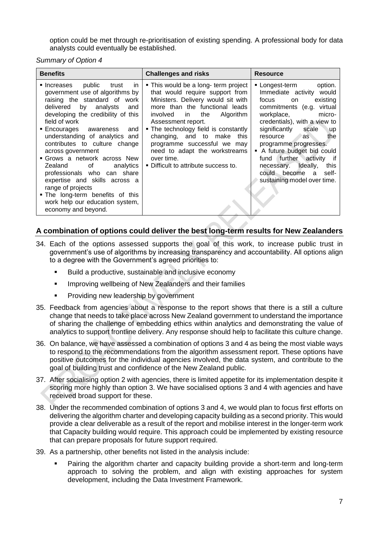option could be met through re-prioritisation of existing spending. A professional body for data analysts could eventually be established.

*Summary of Option 4*

| <b>Benefits</b>                                                                                                                                                                                                                                                                                                                                                                                                                                                                                                                                                        | <b>Challenges and risks</b>                                                                                                                                                                                                                                                                                                                                                                             | <b>Resource</b>                                                                                                                                                                                                                                                                                                                                                                                                               |
|------------------------------------------------------------------------------------------------------------------------------------------------------------------------------------------------------------------------------------------------------------------------------------------------------------------------------------------------------------------------------------------------------------------------------------------------------------------------------------------------------------------------------------------------------------------------|---------------------------------------------------------------------------------------------------------------------------------------------------------------------------------------------------------------------------------------------------------------------------------------------------------------------------------------------------------------------------------------------------------|-------------------------------------------------------------------------------------------------------------------------------------------------------------------------------------------------------------------------------------------------------------------------------------------------------------------------------------------------------------------------------------------------------------------------------|
| Increases public<br>trust<br>in.<br>government use of algorithms by<br>raising the standard of work<br>delivered<br>by analysts<br>and<br>developing the credibility of this<br>field of work<br>■ Encourages awareness<br>and<br>understanding of analytics and<br>contributes to culture change<br>across government<br>■ Grows a network across New I<br>Zealand of<br>analytics<br>professionals who can share<br>expertise and skills across a<br>range of projects<br>. The long-term benefits of this<br>work help our education system,<br>economy and beyond. | • This would be a long- term project<br>that would require support from<br>Ministers. Delivery would sit with<br>more than the functional leads<br>the<br>Algorithm<br>involved<br>in<br>Assessment report.<br>• The technology field is constantly<br>changing, and to make this<br>programme successful we may<br>need to adapt the workstreams<br>over time.<br>. Difficult to attribute success to. | ■ Longest-term<br>option.<br>Immediate activity would<br>focus<br>existing<br>on<br>commitments (e.g.<br>virtual<br>workplace,<br>micro-<br>credentials), with a view to<br>significantly<br>scale<br><b>up</b><br><b>resource</b><br>the<br>as<br>programme progresses.<br>A future budget bid could<br>further activity<br>fund<br>if<br>necessary. Ideally,<br>this<br>could become a self-<br>sustaining model over time. |

# **A combination of options could deliver the best long-term results for New Zealanders**

- 34. Each of the options assessed supports the goal of this work, to increase public trust in government's use of algorithms by increasing transparency and accountability. All options align to a degree with the Government's agreed priorities to:
	- Build a productive, sustainable and inclusive economy
	- **■** Improving wellbeing of New Zealanders and their families
	- Providing new leadership by government
- 35. Feedback from agencies about a response to the report shows that there is a still a culture change that needs to take place across New Zealand government to understand the importance of sharing the challenge of embedding ethics within analytics and demonstrating the value of analytics to support frontline delivery. Any response should help to facilitate this culture change.
- 36. On balance, we have assessed a combination of options 3 and 4 as being the most viable ways to respond to the recommendations from the algorithm assessment report. These options have positive outcomes for the individual agencies involved, the data system, and contribute to the goal of building trust and confidence of the New Zealand public.
- 37. After socialising option 2 with agencies, there is limited appetite for its implementation despite it scoring more highly than option 3. We have socialised options 3 and 4 with agencies and have received broad support for these.
- 38. Under the recommended combination of options 3 and 4, we would plan to focus first efforts on delivering the algorithm charter and developing capacity building as a second priority. This would provide a clear deliverable as a result of the report and mobilise interest in the longer-term work that Capacity building would require. This approach could be implemented by existing resource that can prepare proposals for future support required.
- 39. As a partnership, other benefits not listed in the analysis include:
	- Pairing the algorithm charter and capacity building provide a short-term and long-term approach to solving the problem, and align with existing approaches for system development, including the Data Investment Framework.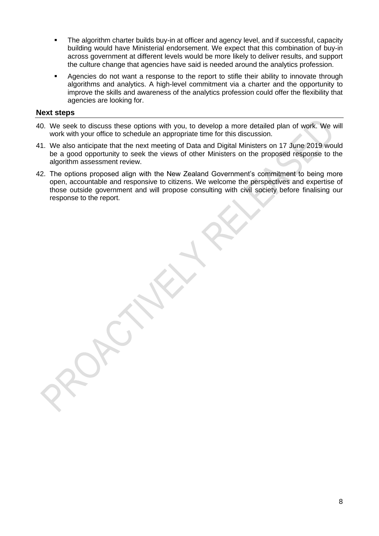- The algorithm charter builds buy-in at officer and agency level, and if successful, capacity building would have Ministerial endorsement. We expect that this combination of buy-in across government at different levels would be more likely to deliver results, and support the culture change that agencies have said is needed around the analytics profession.
- Agencies do not want a response to the report to stifle their ability to innovate through algorithms and analytics. A high-level commitment via a charter and the opportunity to improve the skills and awareness of the analytics profession could offer the flexibility that agencies are looking for.

### **Next steps**

- 40. We seek to discuss these options with you, to develop a more detailed plan of work. We will work with your office to schedule an appropriate time for this discussion.
- 41. We also anticipate that the next meeting of Data and Digital Ministers on 17 June 2019 would be a good opportunity to seek the views of other Ministers on the proposed response to the algorithm assessment review.
- 42. The options proposed align with the New Zealand Government's commitment to being more open, accountable and responsive to citizens. We welcome the perspectives and expertise of those outside government and will propose consulting with civil society before finalising our response to the report.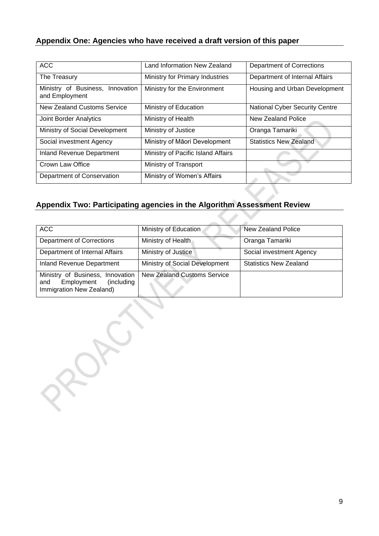# **Appendix One: Agencies who have received a draft version of this paper**

| <b>ACC</b>                                         | Land Information New Zealand       | <b>Department of Corrections</b>      |
|----------------------------------------------------|------------------------------------|---------------------------------------|
| The Treasury                                       | Ministry for Primary Industries    | Department of Internal Affairs        |
| Ministry of Business, Innovation<br>and Employment | Ministry for the Environment       | Housing and Urban Development         |
| New Zealand Customs Service                        | Ministry of Education              | <b>National Cyber Security Centre</b> |
| <b>Joint Border Analytics</b>                      | Ministry of Health                 | New Zealand Police                    |
| Ministry of Social Development                     | Ministry of Justice                | Oranga Tamariki                       |
| Social investment Agency                           | Ministry of Māori Development      | <b>Statistics New Zealand</b>         |
| <b>Inland Revenue Department</b>                   | Ministry of Pacific Island Affairs |                                       |
| Crown Law Office                                   | Ministry of Transport              |                                       |
| Department of Conservation                         | Ministry of Women's Affairs        |                                       |

# **Appendix Two: Participating agencies in the Algorithm Assessment Review**

| <b>ACC</b>                                                                                      | Ministry of Education              | New Zealand Police            |
|-------------------------------------------------------------------------------------------------|------------------------------------|-------------------------------|
| <b>Department of Corrections</b>                                                                | Ministry of Health                 | Oranga Tamariki               |
| Department of Internal Affairs                                                                  | Ministry of Justice                | Social investment Agency      |
| Inland Revenue Department                                                                       | Ministry of Social Development     | <b>Statistics New Zealand</b> |
| Ministry of Business, Innovation<br>Employment<br>(including<br>and<br>Immigration New Zealand) | <b>New Zealand Customs Service</b> |                               |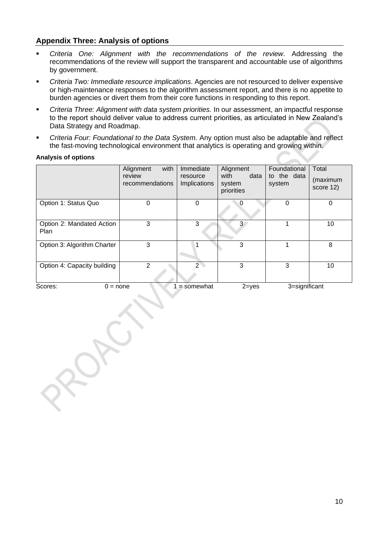# **Appendix Three: Analysis of options**

- *Criteria One: Alignment with the recommendations of the review*. Addressing the recommendations of the review will support the transparent and accountable use of algorithms by government.
- *Criteria Two: Immediate resource implications*. Agencies are not resourced to deliver expensive or high-maintenance responses to the algorithm assessment report, and there is no appetite to burden agencies or divert them from their core functions in responding to this report.
- *Criteria Three: Alignment with data system priorities.* In our assessment, an impactful response to the report should deliver value to address current priorities, as articulated in New Zealand's Data Strategy and Roadmap.
- *Criteria Four: Foundational to the Data System.* Any option must also be adaptable and reflect the fast-moving technological environment that analytics is operating and growing within.

#### **Analysis of options**

|                                   | with<br>Alignment<br>review<br>recommendations | Immediate<br>resource<br>Implications | Alignment<br>with<br>data<br>system<br>priorities | Foundational<br>to the data<br>system | Total<br>(maximum<br>score 12) |
|-----------------------------------|------------------------------------------------|---------------------------------------|---------------------------------------------------|---------------------------------------|--------------------------------|
| Option 1: Status Quo              | 0                                              | 0                                     | 0                                                 | 0                                     | $\mathbf 0$                    |
| Option 2: Mandated Action<br>Plan | 3                                              | 3                                     | 3                                                 |                                       | 10                             |
| Option 3: Algorithm Charter       | 3                                              |                                       | 3                                                 |                                       | 8                              |
| Option 4: Capacity building       | 2                                              | $\mathcal{P}$                         | 3                                                 | 3                                     | 10                             |
| Scores:<br>$0 = none$             |                                                | $=$ somewhat                          | $2 = yes$                                         | 3=significant                         |                                |